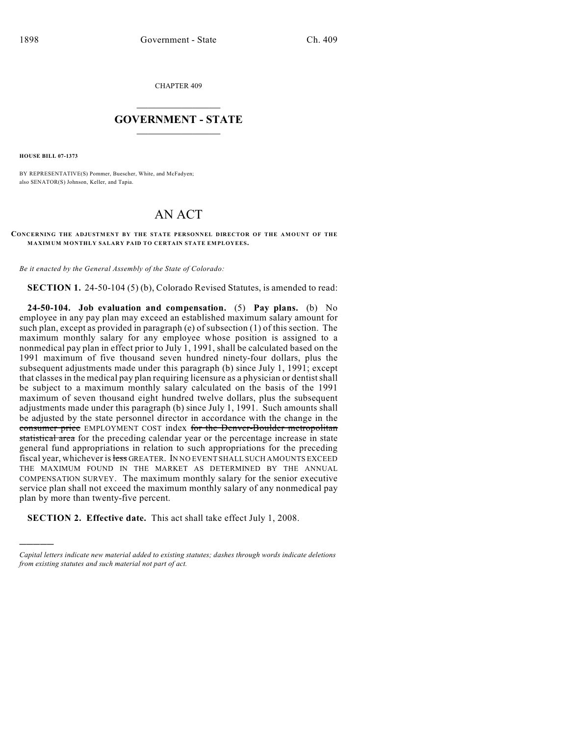CHAPTER 409

## $\overline{\phantom{a}}$  . The set of the set of the set of the set of the set of the set of the set of the set of the set of the set of the set of the set of the set of the set of the set of the set of the set of the set of the set o **GOVERNMENT - STATE**  $\_$

**HOUSE BILL 07-1373**

)))))

BY REPRESENTATIVE(S) Pommer, Buescher, White, and McFadyen; also SENATOR(S) Johnson, Keller, and Tapia.

## AN ACT

**CONCERNING THE ADJUSTMENT BY THE STATE PERSONNEL DIRECTOR OF THE AMOUNT OF THE MAXIMUM MONTHLY SALARY PAID TO CERTAIN STATE EMPLOYEES.**

*Be it enacted by the General Assembly of the State of Colorado:*

**SECTION 1.** 24-50-104 (5) (b), Colorado Revised Statutes, is amended to read:

**24-50-104. Job evaluation and compensation.** (5) **Pay plans.** (b) No employee in any pay plan may exceed an established maximum salary amount for such plan, except as provided in paragraph (e) of subsection (1) of this section. The maximum monthly salary for any employee whose position is assigned to a nonmedical pay plan in effect prior to July 1, 1991, shall be calculated based on the 1991 maximum of five thousand seven hundred ninety-four dollars, plus the subsequent adjustments made under this paragraph (b) since July 1, 1991; except that classes in the medical pay plan requiring licensure as a physician or dentist shall be subject to a maximum monthly salary calculated on the basis of the 1991 maximum of seven thousand eight hundred twelve dollars, plus the subsequent adjustments made under this paragraph (b) since July 1, 1991. Such amounts shall be adjusted by the state personnel director in accordance with the change in the consumer price EMPLOYMENT COST index for the Denver-Boulder metropolitan statistical area for the preceding calendar year or the percentage increase in state general fund appropriations in relation to such appropriations for the preceding fiscal year, whichever is less GREATER. IN NO EVENT SHALL SUCH AMOUNTS EXCEED THE MAXIMUM FOUND IN THE MARKET AS DETERMINED BY THE ANNUAL COMPENSATION SURVEY. The maximum monthly salary for the senior executive service plan shall not exceed the maximum monthly salary of any nonmedical pay plan by more than twenty-five percent.

**SECTION 2. Effective date.** This act shall take effect July 1, 2008.

*Capital letters indicate new material added to existing statutes; dashes through words indicate deletions from existing statutes and such material not part of act.*